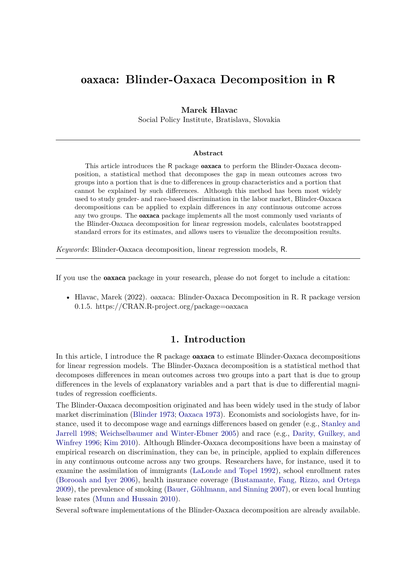# oaxaca**: Blinder-Oaxaca Decomposition in R**

#### **Marek Hlavac**

Social Policy Institute, Bratislava, Slovakia

#### **Abstract**

This article introduces the R package **oaxaca** to perform the Blinder-Oaxaca decomposition, a statistical method that decomposes the gap in mean outcomes across two groups into a portion that is due to differences in group characteristics and a portion that cannot be explained by such differences. Although this method has been most widely used to study gender- and race-based discrimination in the labor market, Blinder-Oaxaca decompositions can be applied to explain differences in any continuous outcome across any two groups. The oaxaca package implements all the most commonly used variants of the Blinder-Oaxaca decomposition for linear regression models, calculates bootstrapped standard errors for its estimates, and allows users to visualize the decomposition results.

*Keywords*: Blinder-Oaxaca decomposition, linear regression models, R.

If you use the oaxaca package in your research, please do not forget to include a citation:

• Hlavac, Marek (2022). oaxaca: Blinder-Oaxaca Decomposition in R. R package version 0.1.5. https://CRAN.R-project.org/package=oaxaca

## **1. Introduction**

In this article, I introduce the R package oaxaca to estimate Blinder-Oaxaca decompositions for linear regression models. The Blinder-Oaxaca decomposition is a statistical method that decomposes differences in mean outcomes across two groups into a part that is due to group differences in the levels of explanatory variables and a part that is due to differential magnitudes of regression coefficients.

The Blinder-Oaxaca decomposition originated and has been widely used in the study of labor market discrimination (Blinder 1973; Oaxaca 1973). Economists and sociologists have, for instance, used it to decompose wage and earnings differences based on gender (e.g., Stanley and Jarrell 1998; Weichselbaumer and Winter-Ebmer 2005) and race (e.g., Darity, Guilkey, and Winfrey 1996; Kim 2010). Although Blinder-Oaxaca decompositions have been a mainstay of empirical research on discrimination, they can be, in principle, applied to explain differences in any continuous outcome across any two groups. Researchers have, for instance, used it to examine the assimilation of immigrants (LaLonde and Topel 1992), school enrollment rates (Borooah and Iyer 2006), health insurance coverage (Bustamante, Fang, Rizzo, and Ortega 2009), the prevalence of smoking (Bauer, Göhlmann, and Sinning 2007), or even local hunting lease rates (Munn and Hussain 2010).

Several software implementations of the Blinder-Oaxaca decomposition are already available.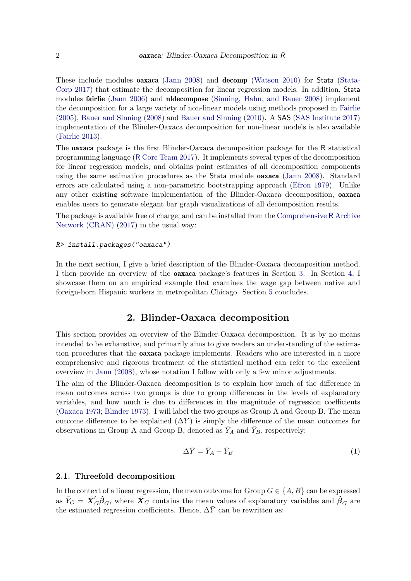These include modules oaxaca (Jann 2008) and decomp (Watson 2010) for Stata (Stata-Corp 2017) that estimate the decomposition for linear regression models. In addition, Stata modules fairlie (Jann 2006) and nldecompose (Sinning, Hahn, and Bauer 2008) implement the decomposition for a large variety of non-linear models using methods proposed in Fairlie (2005), Bauer and Sinning (2008) and Bauer and Sinning (2010). A SAS (SAS Institute 2017) implementation of the Blinder-Oaxaca decomposition for non-linear models is also available (Fairlie 2013).

The oaxaca package is the first Blinder-Oaxaca decomposition package for the R statistical programming language (R Core Team 2017). It implements several types of the decomposition for linear regression models, and obtains point estimates of all decomposition components using the same estimation procedures as the Stata module oaxaca (Jann 2008). Standard errors are calculated using a non-parametric bootstrapping approach (Efron 1979). Unlike any other existing software implementation of the Blinder-Oaxaca decomposition, oaxaca enables users to generate elegant bar graph visualizations of all decomposition results.

The package is available free of charge, and can be installed from the Comprehensive R Archive Network (CRAN) (2017) in the usual way:

#### R> install.packages("oaxaca")

In the next section, I give a brief description of the Blinder-Oaxaca decomposition method. I then provide an overview of the oaxaca package's features in Section 3. In Section 4, I showcase them on an empirical example that examines the wage gap between native and foreign-born Hispanic workers in metropolitan Chicago. Section 5 concludes.

### **2. Blinder-Oaxaca decomposition**

This section provides an overview of the Blinder-Oaxaca decomposition. It is by no means intended to be exhaustive, and primarily aims to give readers an understanding of the estimation procedures that the **oaxaca** package implements. Readers who are interested in a more comprehensive and rigorous treatment of the statistical method can refer to the excellent overview in Jann (2008), whose notation I follow with only a few minor adjustments.

The aim of the Blinder-Oaxaca decomposition is to explain how much of the difference in mean outcomes across two groups is due to group differences in the levels of explanatory variables, and how much is due to differences in the magnitude of regression coefficients (Oaxaca 1973; Blinder 1973). I will label the two groups as Group A and Group B. The mean outcome difference to be explained  $(\Delta Y)$  is simply the difference of the mean outcomes for observations in Group A and Group B, denoted as  $\overline{Y}_A$  and  $\overline{Y}_B$ , respectively:

$$
\Delta \bar{Y} = \bar{Y}_A - \bar{Y}_B \tag{1}
$$

#### **2.1. Threefold decomposition**

In the context of a linear regression, the mean outcome for Group  $G \in \{A, B\}$  can be expressed as  $\bar{Y}_G = \bar{X}'_G \hat{\beta}_G$ , where  $\bar{X}_G$  contains the mean values of explanatory variables and  $\hat{\beta}_G$  are the estimated regression coefficients. Hence,  $\Delta \bar{Y}$  can be rewritten as: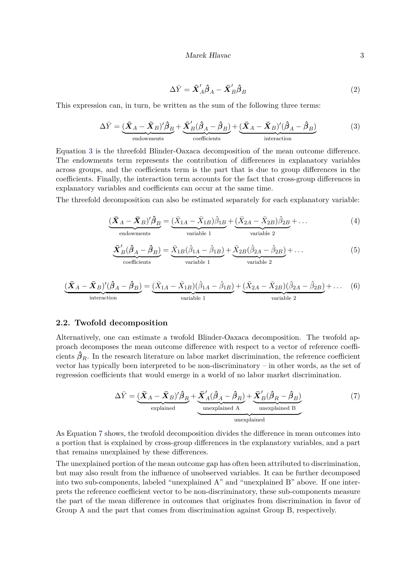$$
\Delta \bar{Y} = \bar{X}_A' \hat{\beta}_A - \bar{X}_B' \hat{\beta}_B
$$
\n(2)

This expression can, in turn, be written as the sum of the following three terms:

$$
\Delta \bar{Y} = \underbrace{(\bar{X}_A - \bar{X}_B)' \hat{\beta}_B}_{\text{endownents}} + \underbrace{\bar{X}'_B (\hat{\beta}_A - \hat{\beta}_B)}_{\text{coefficients}} + \underbrace{(\bar{X}_A - \bar{X}_B)' (\hat{\beta}_A - \hat{\beta}_B)}_{\text{interaction}}
$$
(3)

Equation 3 is the threefold Blinder-Oaxaca decomposition of the mean outcome difference. The endowments term represents the contribution of differences in explanatory variables across groups, and the coefficients term is the part that is due to group differences in the coefficients. Finally, the interaction term accounts for the fact that cross-group differences in explanatory variables and coefficients can occur at the same time.

The threefold decomposition can also be estimated separately for each explanatory variable:

$$
\underbrace{(\bar{X}_A - \bar{X}_B)'\hat{\beta}_B}_{\text{endownents}} = \underbrace{(\bar{X}_{1A} - \bar{X}_{1B})\hat{\beta}_{1B}}_{\text{variable 1}} + \underbrace{(\bar{X}_{2A} - \bar{X}_{2B})\hat{\beta}_{2B}}_{\text{variable 2}} + \dots
$$
(4)

$$
\underbrace{\bar{X}'_B(\hat{\beta}_A - \hat{\beta}_B)}_{\text{coefficients}} = \underbrace{\bar{X}_{1B}(\hat{\beta}_{1A} - \hat{\beta}_{1B})}_{\text{variable 1}} + \underbrace{\bar{X}_{2B}(\hat{\beta}_{2A} - \hat{\beta}_{2B})}_{\text{variable 2}} + \dots
$$
\n(5)

$$
\underbrace{(\bar{X}_A - \bar{X}_B)'(\hat{\beta}_A - \hat{\beta}_B)}_{\text{interaction}} = \underbrace{(\bar{X}_{1A} - \bar{X}_{1B})(\hat{\beta}_{1A} - \hat{\beta}_{1B})}_{\text{variable 1}} + \underbrace{(\bar{X}_{2A} - \bar{X}_{2B})(\hat{\beta}_{2A} - \hat{\beta}_{2B})}_{\text{variable 2}} + \dots \quad (6)
$$

#### **2.2. Twofold decomposition**

Alternatively, one can estimate a twofold Blinder-Oaxaca decomposition. The twofold approach decomposes the mean outcome difference with respect to a vector of reference coefficients  $\hat{\beta}_R$ . In the research literature on labor market discrimination, the reference coefficient vector has typically been interpreted to be non-discriminatory – in other words, as the set of regression coefficients that would emerge in a world of no labor market discrimination.

$$
\Delta \bar{Y} = \underbrace{(\bar{X}_A - \bar{X}_B)'\hat{\beta}_R}_{\text{explained}} + \underbrace{\bar{X}_A'(\hat{\beta}_A - \hat{\beta}_R)}_{\text{unexplained A}} + \underbrace{\bar{X}_B'(\hat{\beta}_R - \hat{\beta}_B)}_{\text{unexplained B}}
$$
(7)

As Equation 7 shows, the twofold decomposition divides the difference in mean outcomes into a portion that is explained by cross-group differences in the explanatory variables, and a part that remains unexplained by these differences.

The unexplained portion of the mean outcome gap has often been attributed to discrimination, but may also result from the influence of unobserved variables. It can be further decomposed into two sub-components, labeled "unexplained A" and "unexplained B" above. If one interprets the reference coefficient vector to be non-discriminatory, these sub-components measure the part of the mean difference in outcomes that originates from discrimination in favor of Group A and the part that comes from discrimination against Group B, respectively.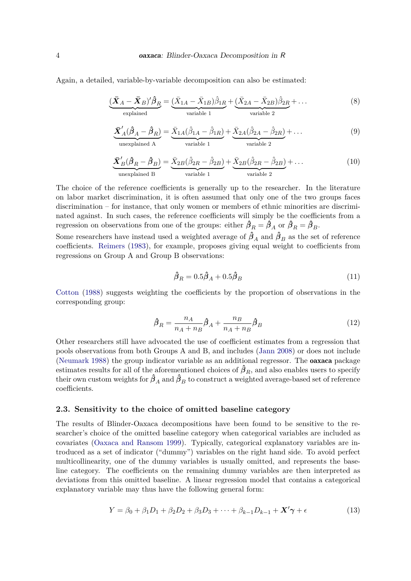Again, a detailed, variable-by-variable decomposition can also be estimated:

$$
\underbrace{(\bar{X}_A - \bar{X}_B)'\hat{\beta}_R}_{\text{explained}} = \underbrace{(\bar{X}_{1A} - \bar{X}_{1B})\hat{\beta}_{1R}}_{\text{variable 1}} + \underbrace{(\bar{X}_{2A} - \bar{X}_{2B})\hat{\beta}_{2R}}_{\text{variable 2}} + \dots
$$
\n(8)

$$
\underbrace{\bar{X}'_A(\hat{\beta}_A - \hat{\beta}_R)}_{\text{unexplained A}} = \underbrace{\bar{X}_{1A}(\hat{\beta}_{1A} - \hat{\beta}_{1R})}_{\text{variable 1}} + \underbrace{\bar{X}_{2A}(\hat{\beta}_{2A} - \hat{\beta}_{2R})}_{\text{variable 2}} + \dots
$$
\n(9)

$$
\underbrace{\bar{\mathbf{X}}'_{B}(\hat{\beta}_{R} - \hat{\beta}_{B})}_{\text{unexplained B}} = \underbrace{\bar{X}_{2B}(\hat{\beta}_{2R} - \hat{\beta}_{2B})}_{\text{variable 1}} + \underbrace{\bar{X}_{2B}(\hat{\beta}_{2R} - \hat{\beta}_{2B})}_{\text{variable 2}} + \dots
$$
\n(10)

The choice of the reference coefficients is generally up to the researcher. In the literature on labor market discrimination, it is often assumed that only one of the two groups faces discrimination – for instance, that only women or members of ethnic minorities are discriminated against. In such cases, the reference coefficients will simply be the coefficients from a regression on observations from one of the groups: either  $\hat{\beta}_R = \hat{\beta}_A$  or  $\hat{\beta}_R = \hat{\beta}_B$ .

Some researchers have instead used a weighted average of  $\hat{\beta}_A$  and  $\hat{\beta}_B$  as the set of reference coefficients. Reimers (1983), for example, proposes giving equal weight to coefficients from regressions on Group A and Group B observations:

$$
\hat{\beta}_R = 0.5\hat{\beta}_A + 0.5\hat{\beta}_B \tag{11}
$$

Cotton (1988) suggests weighting the coefficients by the proportion of observations in the corresponding group:

$$
\hat{\beta}_R = \frac{n_A}{n_A + n_B} \hat{\beta}_A + \frac{n_B}{n_A + n_B} \hat{\beta}_B
$$
\n(12)

Other researchers still have advocated the use of coefficient estimates from a regression that pools observations from both Groups A and B, and includes (Jann 2008) or does not include (Neumark 1988) the group indicator variable as an additional regressor. The oaxaca package estimates results for all of the aforementioned choices of  $\hat{\beta}_R$ , and also enables users to specify their own custom weights for  $\hat{\beta}_A$  and  $\hat{\beta}_B$  to construct a weighted average-based set of reference coefficients.

#### **2.3. Sensitivity to the choice of omitted baseline category**

The results of Blinder-Oaxaca decompositions have been found to be sensitive to the researcher's choice of the omitted baseline category when categorical variables are included as covariates (Oaxaca and Ransom 1999). Typically, categorical explanatory variables are introduced as a set of indicator ("dummy") variables on the right hand side. To avoid perfect multicollinearity, one of the dummy variables is usually omitted, and represents the baseline category. The coefficients on the remaining dummy variables are then interpreted as deviations from this omitted baseline. A linear regression model that contains a categorical explanatory variable may thus have the following general form:

$$
Y = \beta_0 + \beta_1 D_1 + \beta_2 D_2 + \beta_3 D_3 + \dots + \beta_{k-1} D_{k-1} + X' \gamma + \epsilon
$$
\n(13)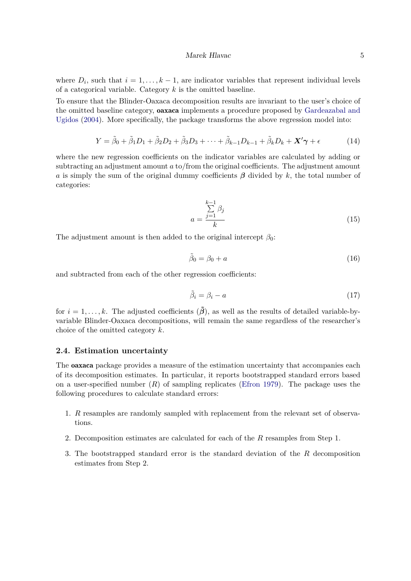where  $D_i$ , such that  $i = 1, \ldots, k - 1$ , are indicator variables that represent individual levels of a categorical variable. Category *k* is the omitted baseline.

To ensure that the Blinder-Oaxaca decomposition results are invariant to the user's choice of the omitted baseline category, oaxaca implements a procedure proposed by Gardeazabal and Ugidos (2004). More specifically, the package transforms the above regression model into:

$$
Y = \tilde{\beta}_0 + \tilde{\beta}_1 D_1 + \tilde{\beta}_2 D_2 + \tilde{\beta}_3 D_3 + \dots + \tilde{\beta}_{k-1} D_{k-1} + \tilde{\beta}_k D_k + \mathbf{X}' \boldsymbol{\gamma} + \epsilon
$$
 (14)

where the new regression coefficients on the indicator variables are calculated by adding or subtracting an adjustment amount *a* to/from the original coefficients. The adjustment amount *a* is simply the sum of the original dummy coefficients *β* divided by *k*, the total number of categories:

$$
a = \frac{\sum_{j=1}^{k-1} \beta_j}{k} \tag{15}
$$

The adjustment amount is then added to the original intercept  $\beta_0$ :

$$
\tilde{\beta}_0 = \beta_0 + a \tag{16}
$$

and subtracted from each of the other regression coefficients:

$$
\tilde{\beta}_i = \beta_i - a \tag{17}
$$

for  $i = 1, \ldots, k$ . The adjusted coefficients  $(\tilde{\beta})$ , as well as the results of detailed variable-byvariable Blinder-Oaxaca decompositions, will remain the same regardless of the researcher's choice of the omitted category *k*.

### **2.4. Estimation uncertainty**

The oaxaca package provides a measure of the estimation uncertainty that accompanies each of its decomposition estimates. In particular, it reports bootstrapped standard errors based on a user-specified number (*R*) of sampling replicates (Efron 1979). The package uses the following procedures to calculate standard errors:

- 1. *R* resamples are randomly sampled with replacement from the relevant set of observations.
- 2. Decomposition estimates are calculated for each of the *R* resamples from Step 1.
- 3. The bootstrapped standard error is the standard deviation of the *R* decomposition estimates from Step 2.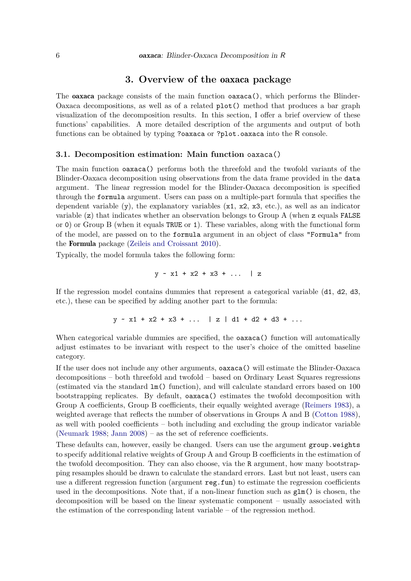### **3. Overview of the** oaxaca **package**

The **oaxaca** package consists of the main function **oaxaca**(), which performs the Blinder-Oaxaca decompositions, as well as of a related plot() method that produces a bar graph visualization of the decomposition results. In this section, I offer a brief overview of these functions' capabilities. A more detailed description of the arguments and output of both functions can be obtained by typing ?oaxaca or ?plot.oaxaca into the R console.

#### **3.1. Decomposition estimation: Main function** oaxaca()

The main function oaxaca() performs both the threefold and the twofold variants of the Blinder-Oaxaca decomposition using observations from the data frame provided in the data argument. The linear regression model for the Blinder-Oaxaca decomposition is specified through the formula argument. Users can pass on a multiple-part formula that specifies the dependent variable  $(y)$ , the explanatory variables  $(x1, x2, x3, \text{ etc.})$ , as well as an indicator variable (z) that indicates whether an observation belongs to Group A (when z equals FALSE or 0) or Group B (when it equals TRUE or 1). These variables, along with the functional form of the model, are passed on to the formula argument in an object of class "Formula" from the Formula package (Zeileis and Croissant 2010).

Typically, the model formula takes the following form:

$$
y - x1 + x2 + x3 + \ldots \mid z
$$

If the regression model contains dummies that represent a categorical variable (d1, d2, d3, etc.), these can be specified by adding another part to the formula:

$$
y \sim x1 + x2 + x3 + \ldots \mid z \mid d1 + d2 + d3 + \ldots
$$

When categorical variable dummies are specified, the oaxaca() function will automatically adjust estimates to be invariant with respect to the user's choice of the omitted baseline category.

If the user does not include any other arguments, oaxaca() will estimate the Blinder-Oaxaca decompositions – both threefold and twofold – based on Ordinary Least Squares regressions (estimated via the standard lm() function), and will calculate standard errors based on 100 bootstrapping replicates. By default, oaxaca() estimates the twofold decomposition with Group A coefficients, Group B coefficients, their equally weighted average (Reimers 1983), a weighted average that reflects the number of observations in Groups A and B (Cotton 1988), as well with pooled coefficients – both including and excluding the group indicator variable (Neumark 1988; Jann 2008) – as the set of reference coefficients.

These defaults can, however, easily be changed. Users can use the argument group.weights to specify additional relative weights of Group A and Group B coefficients in the estimation of the twofold decomposition. They can also choose, via the R argument, how many bootstrapping resamples should be drawn to calculate the standard errors. Last but not least, users can use a different regression function (argument  $\texttt{reg.fun}$ ) to estimate the regression coefficients used in the decompositions. Note that, if a non-linear function such as  $\text{glm}()$  is chosen, the decomposition will be based on the linear systematic component – usually associated with the estimation of the corresponding latent variable – of the regression method.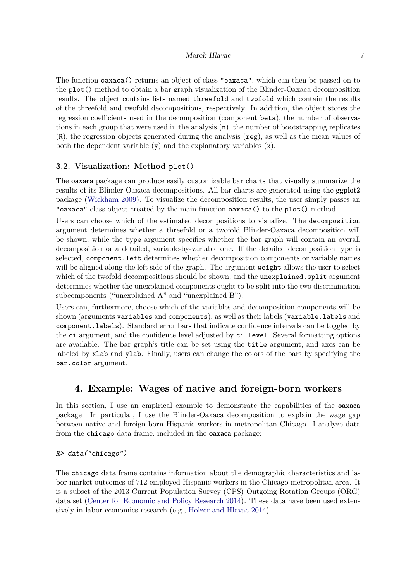The function oaxaca() returns an object of class "oaxaca", which can then be passed on to the plot() method to obtain a bar graph visualization of the Blinder-Oaxaca decomposition results. The object contains lists named threefold and twofold which contain the results of the threefold and twofold decompositions, respectively. In addition, the object stores the regression coefficients used in the decomposition (component beta), the number of observations in each group that were used in the analysis  $(n)$ , the number of bootstrapping replicates (R), the regression objects generated during the analysis (reg), as well as the mean values of both the dependent variable (y) and the explanatory variables (x).

### **3.2. Visualization: Method** plot()

The oaxaca package can produce easily customizable bar charts that visually summarize the results of its Blinder-Oaxaca decompositions. All bar charts are generated using the ggplot2 package (Wickham 2009). To visualize the decomposition results, the user simply passes an "oaxaca"-class object created by the main function oaxaca() to the plot() method.

Users can choose which of the estimated decompositions to visualize. The decomposition argument determines whether a threefold or a twofold Blinder-Oaxaca decomposition will be shown, while the type argument specifies whether the bar graph will contain an overall decomposition or a detailed, variable-by-variable one. If the detailed decomposition type is selected, component.left determines whether decomposition components or variable names will be aligned along the left side of the graph. The argument weight allows the user to select which of the twofold decompositions should be shown, and the **unexplained**.split argument determines whether the unexplained components ought to be split into the two discrimination subcomponents ("unexplained A" and "unexplained B").

Users can, furthermore, choose which of the variables and decomposition components will be shown (arguments variables and components), as well as their labels (variable.labels and component.labels). Standard error bars that indicate confidence intervals can be toggled by the ci argument, and the confidence level adjusted by ci.level. Several formatting options are available. The bar graph's title can be set using the title argument, and axes can be labeled by xlab and ylab. Finally, users can change the colors of the bars by specifying the bar.color argument.

## **4. Example: Wages of native and foreign-born workers**

In this section, I use an empirical example to demonstrate the capabilities of the **oaxaca** package. In particular, I use the Blinder-Oaxaca decomposition to explain the wage gap between native and foreign-born Hispanic workers in metropolitan Chicago. I analyze data from the chicago data frame, included in the oaxaca package:

```
R> data("chicago")
```
The chicago data frame contains information about the demographic characteristics and labor market outcomes of 712 employed Hispanic workers in the Chicago metropolitan area. It is a subset of the 2013 Current Population Survey (CPS) Outgoing Rotation Groups (ORG) data set (Center for Economic and Policy Research 2014). These data have been used extensively in labor economics research (e.g., Holzer and Hlavac 2014).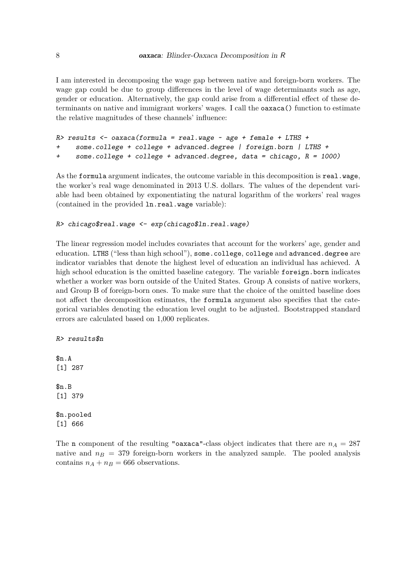I am interested in decomposing the wage gap between native and foreign-born workers. The wage gap could be due to group differences in the level of wage determinants such as age, gender or education. Alternatively, the gap could arise from a differential effect of these determinants on native and immigrant workers' wages. I call the oaxaca() function to estimate the relative magnitudes of these channels' influence:

```
R> results <- oaxaca(formula = real.wage \sim age + female + LTHS +
+ some.college + college + advanced.degree | foreign.born | LTHS +
+ some.college + college + advanced.degree, data = chicago, R = 1000)
```
As the formula argument indicates, the outcome variable in this decomposition is real.wage, the worker's real wage denominated in 2013 U.S. dollars. The values of the dependent variable had been obtained by exponentiating the natural logarithm of the workers' real wages (contained in the provided ln.real.wage variable):

```
R> chicago$real.wage <- exp(chicago$ln.real.wage)
```
The linear regression model includes covariates that account for the workers' age, gender and education. LTHS ("less than high school"), some.college, college and advanced.degree are indicator variables that denote the highest level of education an individual has achieved. A high school education is the omitted baseline category. The variable foreign.born indicates whether a worker was born outside of the United States. Group A consists of native workers, and Group B of foreign-born ones. To make sure that the choice of the omitted baseline does not affect the decomposition estimates, the formula argument also specifies that the categorical variables denoting the education level ought to be adjusted. Bootstrapped standard errors are calculated based on 1,000 replicates.

R> results\$n \$n.A [1] 287 \$n.B [1] 379 \$n.pooled [1] 666

The n component of the resulting "oaxaca"-class object indicates that there are  $n_A = 287$ native and  $n_B = 379$  foreign-born workers in the analyzed sample. The pooled analysis contains  $n_A + n_B = 666$  observations.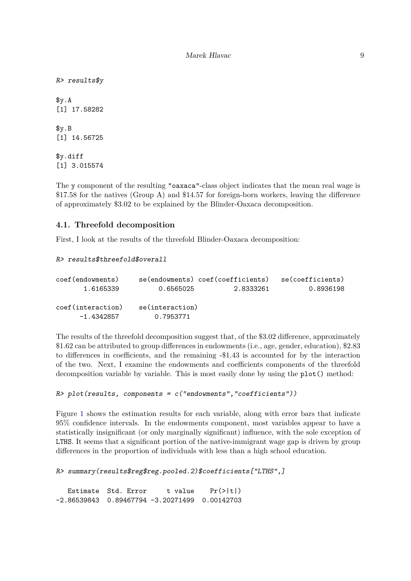R> results\$y \$y.A [1] 17.58282 \$y.B [1] 14.56725 \$y.diff

[1] 3.015574

The y component of the resulting "oaxaca"-class object indicates that the mean real wage is \$17.58 for the natives (Group A) and \$14.57 for foreign-born workers, leaving the difference of approximately \$3.02 to be explained by the Blinder-Oaxaca decomposition.

### **4.1. Threefold decomposition**

First, I look at the results of the threefold Blinder-Oaxaca decomposition:

```
R> results$threefold$overall
```

| coef (endowments) |                 | se(endowments) coef(coefficients) | se(coefficients) |
|-------------------|-----------------|-----------------------------------|------------------|
| 1.6165339         | 0.6565025       | 2.8333261                         | 0.8936198        |
|                   |                 |                                   |                  |
| coef(interaction) | se(interaction) |                                   |                  |
| $-1.4342857$      | 0.7953771       |                                   |                  |
|                   |                 |                                   |                  |

The results of the threefold decomposition suggest that, of the \$3.02 difference, approximately \$1.62 can be attributed to group differences in endowments (i.e., age, gender, education), \$2.83 to differences in coefficients, and the remaining -\$1.43 is accounted for by the interaction of the two. Next, I examine the endowments and coefficients components of the threefold decomposition variable by variable. This is most easily done by using the plot() method:

```
R> plot(results, components = c("endowments", "coefficients"))
```
Figure 1 shows the estimation results for each variable, along with error bars that indicate 95% confidence intervals. In the endowments component, most variables appear to have a statistically insignificant (or only marginally significant) influence, with the sole exception of LTHS. It seems that a significant portion of the native-immigrant wage gap is driven by group differences in the proportion of individuals with less than a high school education.

```
R> summary(results$reg$reg.pooled.2)$coefficients["LTHS",]
```
Estimate Std. Error t value Pr(>|t|) -2.86539843 0.89467794 -3.20271499 0.00142703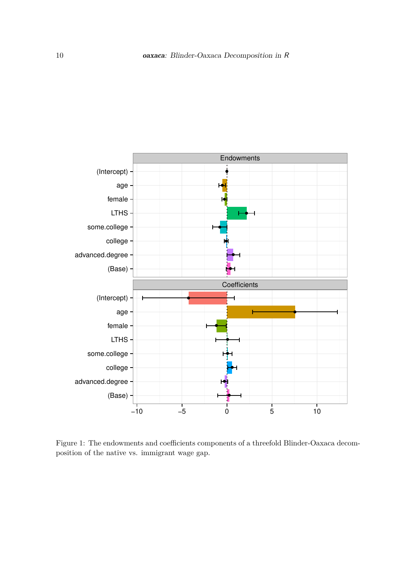

Figure 1: The endowments and coefficients components of a threefold Blinder-Oaxaca decomposition of the native vs. immigrant wage gap.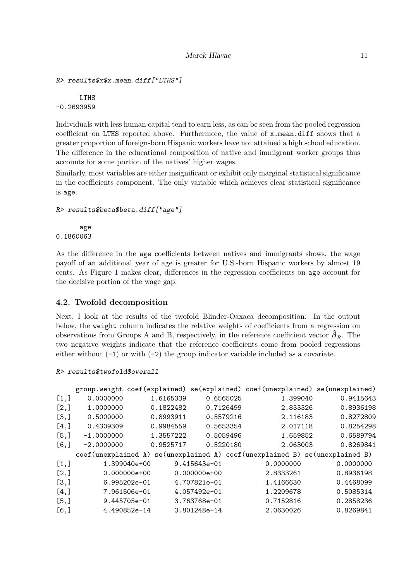```
R> results$x$x.mean.diff["LTHS"]
```
LTHS -0.2693959

Individuals with less human capital tend to earn less, as can be seen from the pooled regression coefficient on LTHS reported above. Furthermore, the value of x.mean.diff shows that a greater proportion of foreign-born Hispanic workers have not attained a high school education. The difference in the educational composition of native and immigrant worker groups thus accounts for some portion of the natives' higher wages.

Similarly, most variables are either insignificant or exhibit only marginal statistical significance in the coefficients component. The only variable which achieves clear statistical significance is age.

```
R> results$beta$beta.diff["age"]
```
age 0.1860063

As the difference in the age coefficients between natives and immigrants shows, the wage payoff of an additional year of age is greater for U.S.-born Hispanic workers by almost 19 cents. As Figure 1 makes clear, differences in the regression coefficients on age account for the decisive portion of the wage gap.

## **4.2. Twofold decomposition**

Next, I look at the results of the twofold Blinder-Oaxaca decomposition. In the output below, the weight column indicates the relative weights of coefficients from a regression on observations from Groups A and B, respectively, in the reference coefficient vector  $\hat{\beta}_R$ . The two negative weights indicate that the reference coefficients come from pooled regressions either without  $(-1)$  or with  $(-2)$  the group indicator variable included as a covariate.

#### R> results\$twofold\$overall

|         |                      |                |           |                  |           | group.weight coef(explained) se(explained) coef(unexplained) se(unexplained) |
|---------|----------------------|----------------|-----------|------------------|-----------|------------------------------------------------------------------------------|
| [1,]    | 0.0000000            |                | 1.6165339 | 0.6565025        | 1.399040  | 0.9415643                                                                    |
| [2,]    | 1.0000000            |                | 0.1822482 | 0.7126499        | 2.833326  | 0.8936198                                                                    |
| [3,]    | 0.5000000            |                | 0.8993911 | 0.5579216        | 2.116183  | 0.8272809                                                                    |
| [4,]    | 0.4309309            |                | 0.9984559 | 0.5653354        | 2.017118  | 0.8254298                                                                    |
| [5,]    | $-1.0000000$         |                | 1.3557222 | 0.5059496        | 1.659852  | 0.6589794                                                                    |
| $[6,$ ] | $-2.0000000$         |                | 0.9525717 | 0.5220180        | 2.063003  | 0.8269841                                                                    |
|         | coef (unexplained A) |                |           |                  |           | se(unexplained A) coef(unexplained B) se(unexplained B)                      |
| [1,]    |                      | 1.399040e+00   |           | 9.415643e-01     | 0.0000000 | 0.0000000                                                                    |
| [2,]    |                      | $0.000000e+00$ |           | $0.000000e + 00$ | 2.8333261 | 0.8936198                                                                    |
| [3,]    |                      | $6.995202e-01$ |           | 4.707821e-01     | 1.4166630 | 0.4468099                                                                    |
| [4,     |                      | 7.961506e-01   |           | 4.057492e-01     | 1.2209678 | 0.5085314                                                                    |
| [5,]    |                      | 9.445705e-01   |           | 3.763768e-01     | 0.7152816 | 0.2858236                                                                    |
| [6,]    |                      | 4.490852e-14   |           | 3.801248e-14     | 2.0630026 | 0.8269841                                                                    |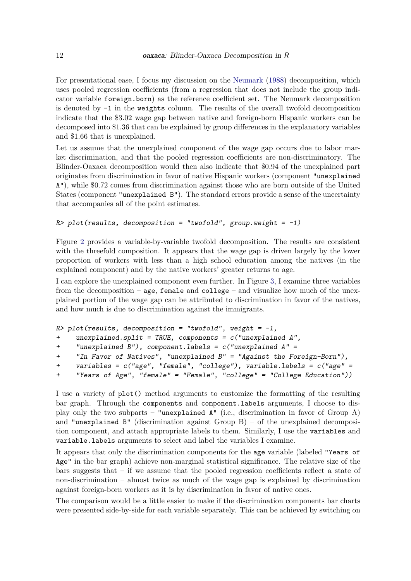For presentational ease, I focus my discussion on the Neumark (1988) decomposition, which uses pooled regression coefficients (from a regression that does not include the group indicator variable foreign.born) as the reference coefficient set. The Neumark decomposition is denoted by -1 in the weights column. The results of the overall twofold decomposition indicate that the \$3.02 wage gap between native and foreign-born Hispanic workers can be decomposed into \$1.36 that can be explained by group differences in the explanatory variables and \$1.66 that is unexplained.

Let us assume that the unexplained component of the wage gap occurs due to labor market discrimination, and that the pooled regression coefficients are non-discriminatory. The Blinder-Oaxaca decomposition would then also indicate that \$0.94 of the unexplained part originates from discrimination in favor of native Hispanic workers (component "unexplained A"), while \$0.72 comes from discrimination against those who are born outside of the United States (component "unexplained B"). The standard errors provide a sense of the uncertainty that accompanies all of the point estimates.

#### $R$ > plot(results, decomposition = "twofold", group.weight = -1)

Figure 2 provides a variable-by-variable twofold decomposition. The results are consistent with the threefold composition. It appears that the wage gap is driven largely by the lower proportion of workers with less than a high school education among the natives (in the explained component) and by the native workers' greater returns to age.

I can explore the unexplained component even further. In Figure 3, I examine three variables from the decomposition – age, female and college – and visualize how much of the unexplained portion of the wage gap can be attributed to discrimination in favor of the natives, and how much is due to discrimination against the immigrants.

```
R> plot(results, decomposition = "twofold", weight = -1,
+ unexplained.split = TRUE, components = c("unexplained A",
+ "unexplained B"), component.labels = c("unexplained A" =
     "In Favor of Natives", "unexplained B'' = "Against the Foreign-Born"),
+ variables = c("age", "female", "college"), variable.labels = c("age" =
+ "Years of Age", "female" = "Female", "college" = "College Education"))
```
I use a variety of plot() method arguments to customize the formatting of the resulting bar graph. Through the components and component.labels arguments, I choose to display only the two subparts – "unexplained  $A$ " (i.e., discrimination in favor of Group A) and "unexplained  $B$ " (discrimination against Group  $B$ ) – of the unexplained decomposition component, and attach appropriate labels to them. Similarly, I use the variables and variable.labels arguments to select and label the variables I examine.

It appears that only the discrimination components for the age variable (labeled "Years of Age" in the bar graph) achieve non-marginal statistical significance. The relative size of the bars suggests that – if we assume that the pooled regression coefficients reflect a state of non-discrimination – almost twice as much of the wage gap is explained by discrimination against foreign-born workers as it is by discrimination in favor of native ones.

The comparison would be a little easier to make if the discrimination components bar charts were presented side-by-side for each variable separately. This can be achieved by switching on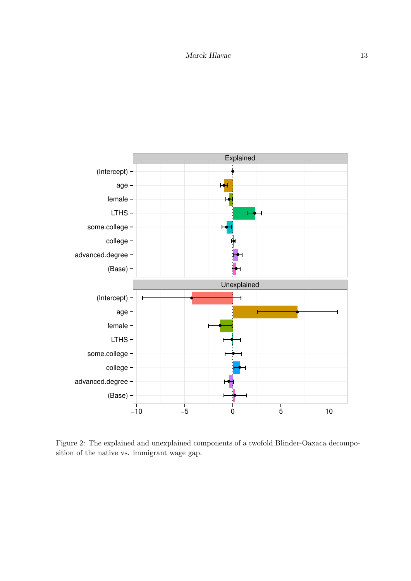

Figure 2: The explained and unexplained components of a twofold Blinder-Oaxaca decomposition of the native vs. immigrant wage gap.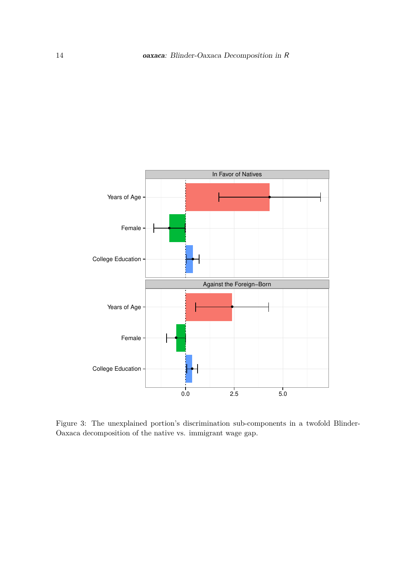

Figure 3: The unexplained portion's discrimination sub-components in a twofold Blinder-Oaxaca decomposition of the native vs. immigrant wage gap.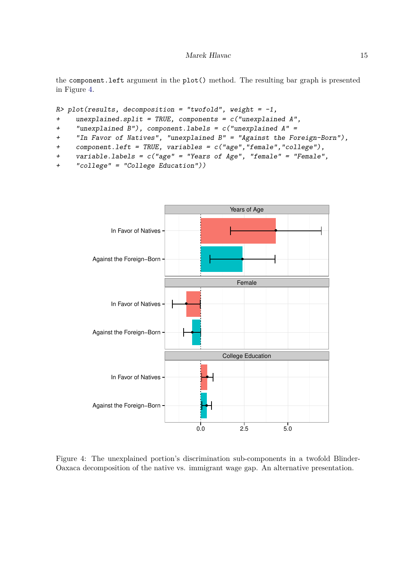the component.left argument in the plot() method. The resulting bar graph is presented in Figure 4.

```
R> plot(results, decomposition = "twofold", weight = -1,
+ unexplained.split = TRUE, components = c("unexplained A",
+ "unexplained B"), component.labels = c("unexplained A" =
+ "In Favor of Natives", "unexplained B" = "Against the Foreign-Born"),
```
+ component.left = TRUE, variables = c("age","female","college"),

```
+ variable.labels = c("age" = "Years of Age", "female" = "Female",
```

```
+ "college" = "College Education"))
```


Figure 4: The unexplained portion's discrimination sub-components in a twofold Blinder-Oaxaca decomposition of the native vs. immigrant wage gap. An alternative presentation.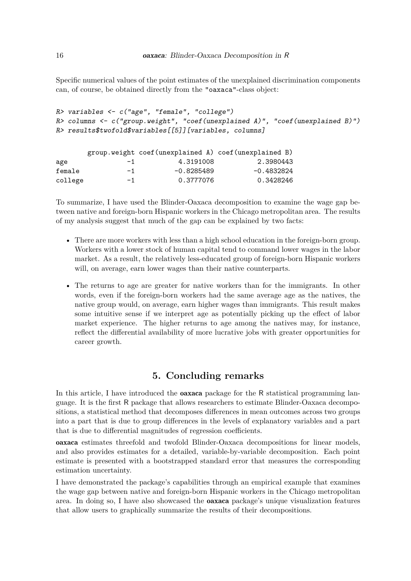Specific numerical values of the point estimates of the unexplained discrimination components can, of course, be obtained directly from the "oaxaca"-class object:

```
R> variables <- c("age", "female", "college")
R> columns <- c("group.weight", "coef(unexplained A)", "coef(unexplained B)")
R> results$twofold$variables[[5]][variables, columns]
```

|         |      | group.weight coef (unexplained A) coef (unexplained B) |            |
|---------|------|--------------------------------------------------------|------------|
| age     | $-1$ | 4.3191008                                              | 2.3980443  |
| female  | $-1$ | $-0.8285489$                                           | -0.4832824 |
| college | $-1$ | 0.3777076                                              | 0.3428246  |

To summarize, I have used the Blinder-Oaxaca decomposition to examine the wage gap between native and foreign-born Hispanic workers in the Chicago metropolitan area. The results of my analysis suggest that much of the gap can be explained by two facts:

- There are more workers with less than a high school education in the foreign-born group. Workers with a lower stock of human capital tend to command lower wages in the labor market. As a result, the relatively less-educated group of foreign-born Hispanic workers will, on average, earn lower wages than their native counterparts.
- The returns to age are greater for native workers than for the immigrants. In other words, even if the foreign-born workers had the same average age as the natives, the native group would, on average, earn higher wages than immigrants. This result makes some intuitive sense if we interpret age as potentially picking up the effect of labor market experience. The higher returns to age among the natives may, for instance, reflect the differential availability of more lucrative jobs with greater opportunities for career growth.

## **5. Concluding remarks**

In this article, I have introduced the **oaxaca** package for the R statistical programming language. It is the first R package that allows researchers to estimate Blinder-Oaxaca decompositions, a statistical method that decomposes differences in mean outcomes across two groups into a part that is due to group differences in the levels of explanatory variables and a part that is due to differential magnitudes of regression coefficients.

oaxaca estimates threefold and twofold Blinder-Oaxaca decompositions for linear models, and also provides estimates for a detailed, variable-by-variable decomposition. Each point estimate is presented with a bootstrapped standard error that measures the corresponding estimation uncertainty.

I have demonstrated the package's capabilities through an empirical example that examines the wage gap between native and foreign-born Hispanic workers in the Chicago metropolitan area. In doing so, I have also showcased the oaxaca package's unique visualization features that allow users to graphically summarize the results of their decompositions.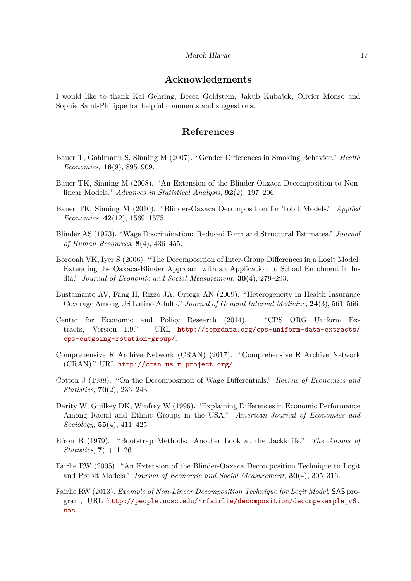## **Acknowledgments**

I would like to thank Kai Gehring, Becca Goldstein, Jakub Kubajek, Olivier Monso and Sophie Saint-Philippe for helpful comments and suggestions.

## **References**

- Bauer T, Göhlmann S, Sinning M (2007). "Gender Differences in Smoking Behavior." *Health Economics*, **16**(9), 895–909.
- Bauer TK, Sinning M (2008). "An Extension of the Blinder-Oaxaca Decomposition to Nonlinear Models." *Advances in Statistical Analysis*, **92**(2), 197–206.
- Bauer TK, Sinning M (2010). "Blinder-Oaxaca Decomposition for Tobit Models." *Applied Economics*, **42**(12), 1569–1575.
- Blinder AS (1973). "Wage Discrimination: Reduced Form and Structural Estimates." *Journal of Human Resources*, **8**(4), 436–455.
- Borooah VK, Iyer S (2006). "The Decomposition of Inter-Group Differences in a Logit Model: Extending the Oaxaca-Blinder Approach with an Application to School Enrolment in India." *Journal of Economic and Social Measurement*, **30**(4), 279–293.
- Bustamante AV, Fang H, Rizzo JA, Ortega AN (2009). "Heterogeneity in Health Insurance Coverage Among US Latino Adults." *Journal of General Internal Medicine*, **24**(3), 561–566.
- Center for Economic and Policy Research (2014). "CPS ORG Uniform Extracts, Version 1.9." URL [http://ceprdata.org/cps-uniform-data-extracts/](http://ceprdata.org/cps-uniform-data-extracts/cps-outgoing-rotation-group/) [cps-outgoing-rotation-group/](http://ceprdata.org/cps-uniform-data-extracts/cps-outgoing-rotation-group/).
- Comprehensive R Archive Network (CRAN) (2017). "Comprehensive R Archive Network (CRAN)." URL <http://cran.us.r-project.org/>.
- Cotton J (1988). "On the Decomposition of Wage Differentials." *Review of Economics and Statistics*, **70**(2), 236–243.
- Darity W, Guilkey DK, Winfrey W (1996). "Explaining Differences in Economic Performance Among Racial and Ethnic Groups in the USA." *American Journal of Economics and Sociology*, **55**(4), 411–425.
- Efron B (1979). "Bootstrap Methods: Another Look at the Jackknife." *The Annals of Statistics*, **7**(1), 1–26.
- Fairlie RW (2005). "An Extension of the Blinder-Oaxaca Decomposition Technique to Logit and Probit Models." *Journal of Economic and Social Measurement*, **30**(4), 305–316.
- Fairlie RW (2013). *Example of Non-Linear Decomposition Technique for Logit Model*. SAS program, URL [http://people.ucsc.edu/~rfairlie/decomposition/decompexample\\_v6.](http://people.ucsc.edu/~rfairlie/decomposition/decompexample_v6.sas) [sas](http://people.ucsc.edu/~rfairlie/decomposition/decompexample_v6.sas).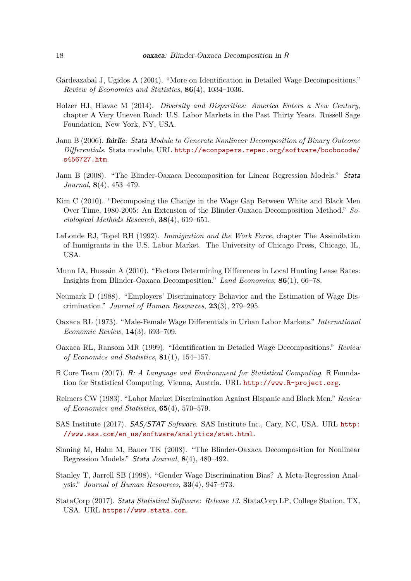- Gardeazabal J, Ugidos A (2004). "More on Identification in Detailed Wage Decompositions." *Review of Economics and Statistics*, **86**(4), 1034–1036.
- Holzer HJ, Hlavac M (2014). *Diversity and Disparities: America Enters a New Century*, chapter A Very Uneven Road: U.S. Labor Markets in the Past Thirty Years. Russell Sage Foundation, New York, NY, USA.
- Jann B (2006). fairlie*:* Stata *Module to Generate Nonlinear Decomposition of Binary Outcome Differentials*. Stata module, URL [http://econpapers.repec.org/software/bocbocode/](http://econpapers.repec.org/software/bocbocode/s456727.htm) [s456727.htm](http://econpapers.repec.org/software/bocbocode/s456727.htm).
- Jann B (2008). "The Blinder-Oaxaca Decomposition for Linear Regression Models." Stata *Journal*, **8**(4), 453–479.
- Kim C (2010). "Decomposing the Change in the Wage Gap Between White and Black Men Over Time, 1980-2005: An Extension of the Blinder-Oaxaca Decomposition Method." *Sociological Methods Research*, **38**(4), 619–651.
- LaLonde RJ, Topel RH (1992). *Immigration and the Work Force*, chapter The Assimilation of Immigrants in the U.S. Labor Market. The University of Chicago Press, Chicago, IL, USA.
- Munn IA, Hussain A (2010). "Factors Determining Differences in Local Hunting Lease Rates: Insights from Blinder-Oaxaca Decomposition." *Land Economics*, **86**(1), 66–78.
- Neumark D (1988). "Employers' Discriminatory Behavior and the Estimation of Wage Discrimination." *Journal of Human Resources*, **23**(3), 279–295.
- Oaxaca RL (1973). "Male-Female Wage Differentials in Urban Labor Markets." *International Economic Review*, **14**(3), 693–709.
- Oaxaca RL, Ransom MR (1999). "Identification in Detailed Wage Decompositions." *Review of Economics and Statistics*, **81**(1), 154–157.
- R Core Team (2017). R*: A Language and Environment for Statistical Computing*. R Foundation for Statistical Computing, Vienna, Austria. URL <http://www.R-project.org>.
- Reimers CW (1983). "Labor Market Discrimination Against Hispanic and Black Men." *Review of Economics and Statistics*, **65**(4), 570–579.
- SAS Institute (2017). SAS/STAT *Software*. SAS Institute Inc., Cary, NC, USA. URL [http:](http://www.sas.com/en_us/software/analytics/stat.html) [//www.sas.com/en\\_us/software/analytics/stat.html](http://www.sas.com/en_us/software/analytics/stat.html).
- Sinning M, Hahn M, Bauer TK (2008). "The Blinder-Oaxaca Decomposition for Nonlinear Regression Models." Stata *Journal*, **8**(4), 480–492.
- Stanley T, Jarrell SB (1998). "Gender Wage Discrimination Bias? A Meta-Regression Analysis." *Journal of Human Resources*, **33**(4), 947–973.
- StataCorp (2017). Stata *Statistical Software: Release 13*. StataCorp LP, College Station, TX, USA. URL <https://www.stata.com>.